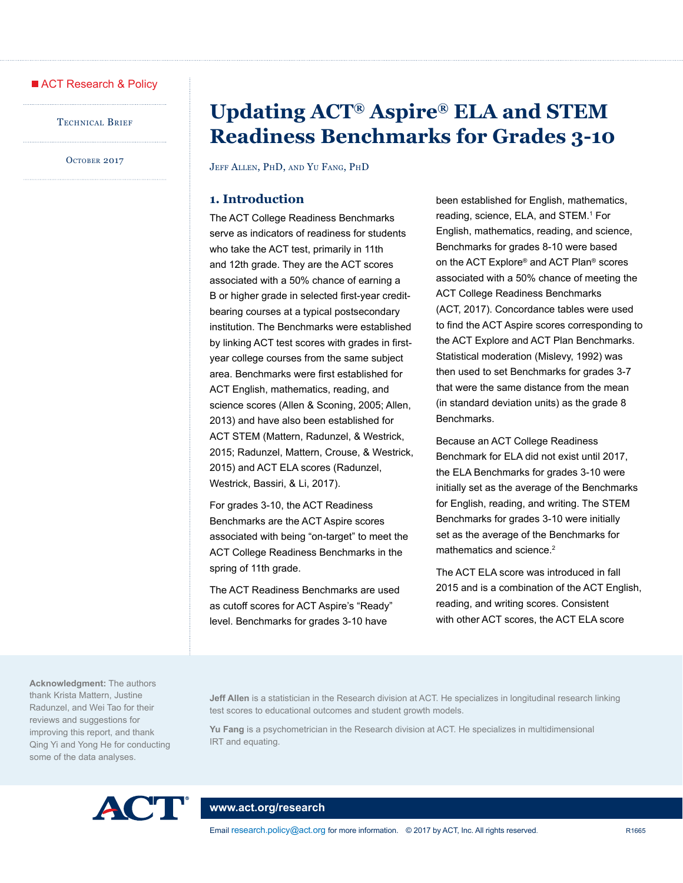### ACT Research & Policy

TECHNICAL BRIEF

OCTOBER 2017

# **Updating ACT® Aspire® ELA and STEM Readiness Benchmarks for Grades 3-10**

Jeff Allen, PhD, and Yu Fang, PhD

# **1. Introduction**

The ACT College Readiness Benchmarks serve as indicators of readiness for students who take the ACT test, primarily in 11th and 12th grade. They are the ACT scores associated with a 50% chance of earning a B or higher grade in selected first-year creditbearing courses at a typical postsecondary institution. The Benchmarks were established by linking ACT test scores with grades in firstyear college courses from the same subject area. Benchmarks were first established for ACT English, mathematics, reading, and science scores (Allen & Sconing, 2005; Allen, 2013) and have also been established for ACT STEM (Mattern, Radunzel, & Westrick, 2015; Radunzel, Mattern, Crouse, & Westrick, 2015) and ACT ELA scores (Radunzel, Westrick, Bassiri, & Li, 2017).

For grades 3-10, the ACT Readiness Benchmarks are the ACT Aspire scores associated with being "on-target" to meet the ACT College Readiness Benchmarks in the spring of 11th grade.

The ACT Readiness Benchmarks are used as cutoff scores for ACT Aspire's "Ready" level. Benchmarks for grades 3-10 have

been established for English, mathematics, reading, science, ELA, and STEM.<sup>1</sup> For English, mathematics, reading, and science, Benchmarks for grades 8-10 were based on the ACT Explore® and ACT Plan® scores associated with a 50% chance of meeting the ACT College Readiness Benchmarks (ACT, 2017). Concordance tables were used to find the ACT Aspire scores corresponding to the ACT Explore and ACT Plan Benchmarks. Statistical moderation (Mislevy, 1992) was then used to set Benchmarks for grades 3-7 that were the same distance from the mean (in standard deviation units) as the grade 8 Benchmarks.

Because an ACT College Readiness Benchmark for ELA did not exist until 2017, the ELA Benchmarks for grades 3-10 were initially set as the average of the Benchmarks for English, reading, and writing. The STEM Benchmarks for grades 3-10 were initially set as the average of the Benchmarks for mathematics and science.<sup>2</sup>

The ACT ELA score was introduced in fall 2015 and is a combination of the ACT English, reading, and writing scores. Consistent with other ACT scores, the ACT ELA score

**Acknowledgment:** The authors thank Krista Mattern, Justine Radunzel, and Wei Tao for their reviews and suggestions for improving this report, and thank Qing Yi and Yong He for conducting some of the data analyses.

**Jeff Allen** is a statistician in the Research division at ACT. He specializes in longitudinal research linking test scores to educational outcomes and student growth models.

**Yu Fang** is a psychometrician in the Research division at ACT. He specializes in multidimensional IRT and equating.



### **[www.act.org/research](http://www.act.org/research)**

Email [research.policy@act.org](mailto:research.policy@act.org) for more information. © 2017 by ACT, Inc. All rights reserved. R1665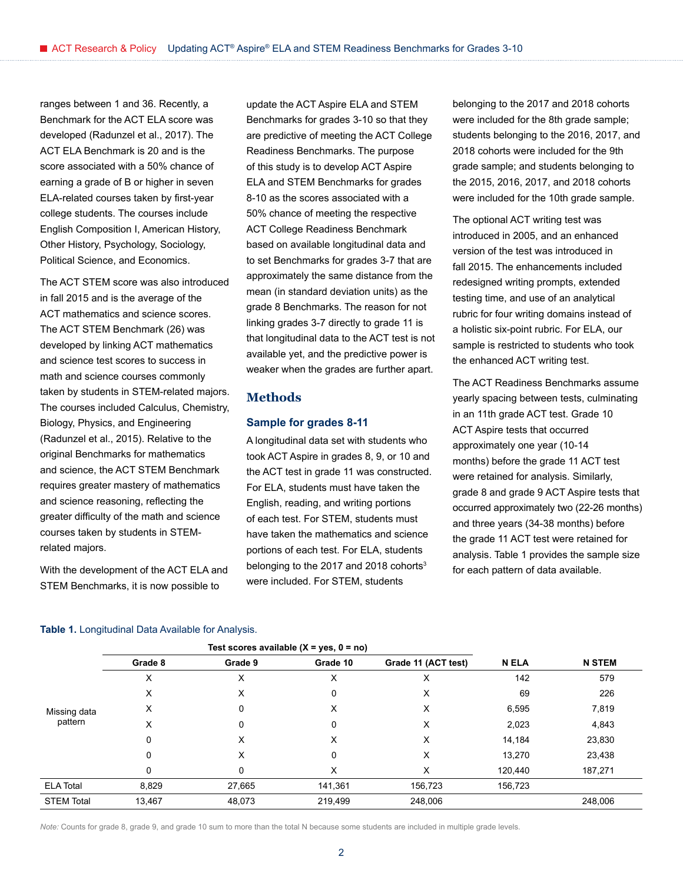ranges between 1 and 36. Recently, a Benchmark for the ACT ELA score was developed (Radunzel et al., 2017). The ACT ELA Benchmark is 20 and is the score associated with a 50% chance of earning a grade of B or higher in seven ELA-related courses taken by first-year college students. The courses include English Composition I, American History, Other History, Psychology, Sociology, Political Science, and Economics.

The ACT STEM score was also introduced in fall 2015 and is the average of the ACT mathematics and science scores. The ACT STEM Benchmark (26) was developed by linking ACT mathematics and science test scores to success in math and science courses commonly taken by students in STEM-related majors. The courses included Calculus, Chemistry, Biology, Physics, and Engineering (Radunzel et al., 2015). Relative to the original Benchmarks for mathematics and science, the ACT STEM Benchmark requires greater mastery of mathematics and science reasoning, reflecting the greater difficulty of the math and science courses taken by students in STEMrelated majors.

With the development of the ACT ELA and STEM Benchmarks, it is now possible to

update the ACT Aspire ELA and STEM Benchmarks for grades 3-10 so that they are predictive of meeting the ACT College Readiness Benchmarks. The purpose of this study is to develop ACT Aspire ELA and STEM Benchmarks for grades 8-10 as the scores associated with a 50% chance of meeting the respective ACT College Readiness Benchmark based on available longitudinal data and to set Benchmarks for grades 3-7 that are approximately the same distance from the mean (in standard deviation units) as the grade 8 Benchmarks. The reason for not linking grades 3-7 directly to grade 11 is that longitudinal data to the ACT test is not available yet, and the predictive power is weaker when the grades are further apart.

### **Methods**

### **Sample for grades 8-11**

A longitudinal data set with students who took ACT Aspire in grades 8, 9, or 10 and the ACT test in grade 11 was constructed. For ELA, students must have taken the English, reading, and writing portions of each test. For STEM, students must have taken the mathematics and science portions of each test. For ELA, students belonging to the 2017 and 2018 cohorts<sup>3</sup> were included. For STEM, students

belonging to the 2017 and 2018 cohorts were included for the 8th grade sample; students belonging to the 2016, 2017, and 2018 cohorts were included for the 9th grade sample; and students belonging to the 2015, 2016, 2017, and 2018 cohorts were included for the 10th grade sample.

The optional ACT writing test was introduced in 2005, and an enhanced version of the test was introduced in fall 2015. The enhancements included redesigned writing prompts, extended testing time, and use of an analytical rubric for four writing domains instead of a holistic six-point rubric. For ELA, our sample is restricted to students who took the enhanced ACT writing test.

The ACT Readiness Benchmarks assume yearly spacing between tests, culminating in an 11th grade ACT test. Grade 10 ACT Aspire tests that occurred approximately one year (10-14 months) before the grade 11 ACT test were retained for analysis. Similarly, grade 8 and grade 9 ACT Aspire tests that occurred approximately two (22-26 months) and three years (34-38 months) before the grade 11 ACT test were retained for analysis. Table 1 provides the sample size for each pattern of data available.

#### **Table 1.** Longitudinal Data Available for Analysis.

|                   |         |         | Test scores available $(X = yes, 0 = no)$ |                     |         |               |
|-------------------|---------|---------|-------------------------------------------|---------------------|---------|---------------|
|                   | Grade 8 | Grade 9 | Grade 10                                  | Grade 11 (ACT test) | N ELA   | <b>N STEM</b> |
|                   | х       | х       | х                                         | х                   | 142     | 579           |
|                   | х       | X       | 0                                         | х                   | 69      | 226           |
| Missing data      | х       | 0       | х                                         | х                   | 6,595   | 7,819         |
| pattern           | x       | 0       | 0                                         | х                   | 2,023   | 4,843         |
|                   | 0       | х       | X                                         | х                   | 14,184  | 23,830        |
|                   | 0       | х       | 0                                         | X                   | 13,270  | 23,438        |
|                   | 0       | 0       | х                                         | х                   | 120,440 | 187,271       |
| <b>ELA Total</b>  | 8,829   | 27,665  | 141,361                                   | 156,723             | 156,723 |               |
| <b>STEM Total</b> | 13,467  | 48,073  | 219,499                                   | 248,006             |         | 248,006       |

*Note:* Counts for grade 8, grade 9, and grade 10 sum to more than the total N because some students are included in multiple grade levels.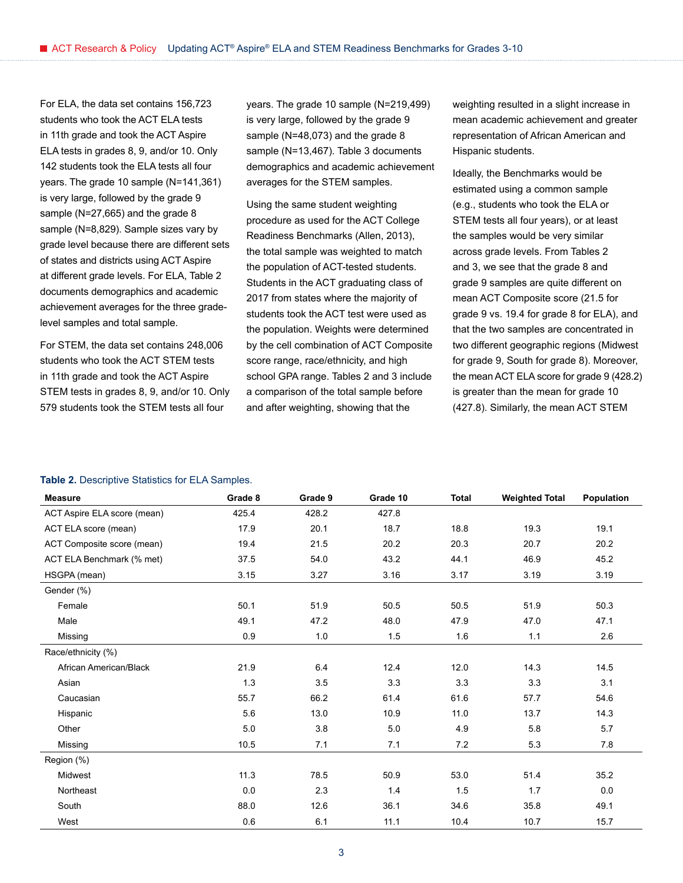For ELA, the data set contains 156,723 students who took the ACT ELA tests in 11th grade and took the ACT Aspire ELA tests in grades 8, 9, and/or 10. Only 142 students took the ELA tests all four years. The grade 10 sample (N=141,361) is very large, followed by the grade 9 sample (N=27,665) and the grade 8 sample (N=8,829). Sample sizes vary by grade level because there are different sets of states and districts using ACT Aspire at different grade levels. For ELA, Table 2 documents demographics and academic achievement averages for the three gradelevel samples and total sample.

For STEM, the data set contains 248,006 students who took the ACT STEM tests in 11th grade and took the ACT Aspire STEM tests in grades 8, 9, and/or 10. Only 579 students took the STEM tests all four

years. The grade 10 sample (N=219,499) is very large, followed by the grade 9 sample (N=48,073) and the grade 8 sample (N=13,467). Table 3 documents demographics and academic achievement averages for the STEM samples.

Using the same student weighting procedure as used for the ACT College Readiness Benchmarks (Allen, 2013), the total sample was weighted to match the population of ACT-tested students. Students in the ACT graduating class of 2017 from states where the majority of students took the ACT test were used as the population. Weights were determined by the cell combination of ACT Composite score range, race/ethnicity, and high school GPA range. Tables 2 and 3 include a comparison of the total sample before and after weighting, showing that the

weighting resulted in a slight increase in mean academic achievement and greater representation of African American and Hispanic students.

Ideally, the Benchmarks would be estimated using a common sample (e.g., students who took the ELA or STEM tests all four years), or at least the samples would be very similar across grade levels. From Tables 2 and 3, we see that the grade 8 and grade 9 samples are quite different on mean ACT Composite score (21.5 for grade 9 vs. 19.4 for grade 8 for ELA), and that the two samples are concentrated in two different geographic regions (Midwest for grade 9, South for grade 8). Moreover, the mean ACT ELA score for grade 9 (428.2) is greater than the mean for grade 10 (427.8). Similarly, the mean ACT STEM

### **Table 2.** Descriptive Statistics for ELA Samples.

| <b>Measure</b>              | Grade 8 | Grade 9 | Grade 10 | <b>Total</b> | <b>Weighted Total</b> | Population |
|-----------------------------|---------|---------|----------|--------------|-----------------------|------------|
| ACT Aspire ELA score (mean) | 425.4   | 428.2   | 427.8    |              |                       |            |
| ACT ELA score (mean)        | 17.9    | 20.1    | 18.7     | 18.8         | 19.3                  | 19.1       |
| ACT Composite score (mean)  | 19.4    | 21.5    | 20.2     | 20.3         | 20.7                  | 20.2       |
| ACT ELA Benchmark (% met)   | 37.5    | 54.0    | 43.2     | 44.1         | 46.9                  | 45.2       |
| HSGPA (mean)                | 3.15    | 3.27    | 3.16     | 3.17         | 3.19                  | 3.19       |
| Gender (%)                  |         |         |          |              |                       |            |
| Female                      | 50.1    | 51.9    | 50.5     | 50.5         | 51.9                  | 50.3       |
| Male                        | 49.1    | 47.2    | 48.0     | 47.9         | 47.0                  | 47.1       |
| Missing                     | 0.9     | 1.0     | 1.5      | 1.6          | 1.1                   | 2.6        |
| Race/ethnicity (%)          |         |         |          |              |                       |            |
| African American/Black      | 21.9    | 6.4     | 12.4     | 12.0         | 14.3                  | 14.5       |
| Asian                       | 1.3     | 3.5     | 3.3      | 3.3          | 3.3                   | 3.1        |
| Caucasian                   | 55.7    | 66.2    | 61.4     | 61.6         | 57.7                  | 54.6       |
| Hispanic                    | 5.6     | 13.0    | 10.9     | 11.0         | 13.7                  | 14.3       |
| Other                       | 5.0     | 3.8     | 5.0      | 4.9          | 5.8                   | 5.7        |
| Missing                     | 10.5    | 7.1     | 7.1      | 7.2          | 5.3                   | 7.8        |
| Region (%)                  |         |         |          |              |                       |            |
| Midwest                     | 11.3    | 78.5    | 50.9     | 53.0         | 51.4                  | 35.2       |
| Northeast                   | 0.0     | 2.3     | 1.4      | 1.5          | 1.7                   | 0.0        |
| South                       | 88.0    | 12.6    | 36.1     | 34.6         | 35.8                  | 49.1       |
| West                        | 0.6     | 6.1     | 11.1     | 10.4         | 10.7                  | 15.7       |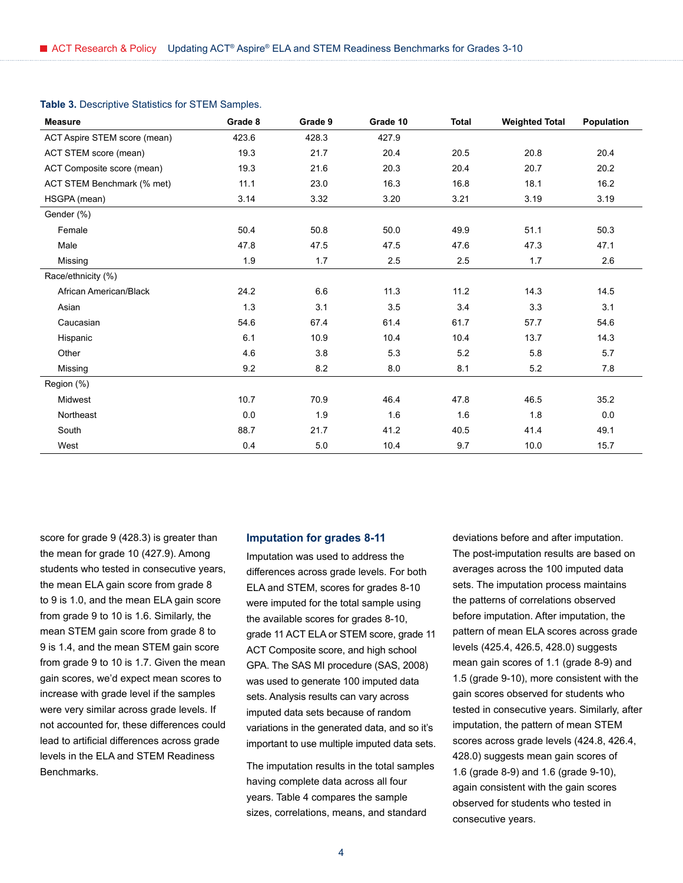| <b>Measure</b>               | Grade 8 | Grade 9 | Grade 10 | <b>Total</b> | <b>Weighted Total</b> | Population |
|------------------------------|---------|---------|----------|--------------|-----------------------|------------|
| ACT Aspire STEM score (mean) | 423.6   | 428.3   | 427.9    |              |                       |            |
| ACT STEM score (mean)        | 19.3    | 21.7    | 20.4     | 20.5         | 20.8                  | 20.4       |
| ACT Composite score (mean)   | 19.3    | 21.6    | 20.3     | 20.4         | 20.7                  | 20.2       |
| ACT STEM Benchmark (% met)   | 11.1    | 23.0    | 16.3     | 16.8         | 18.1                  | 16.2       |
| HSGPA (mean)                 | 3.14    | 3.32    | 3.20     | 3.21         | 3.19                  | 3.19       |
| Gender (%)                   |         |         |          |              |                       |            |
| Female                       | 50.4    | 50.8    | 50.0     | 49.9         | 51.1                  | 50.3       |
| Male                         | 47.8    | 47.5    | 47.5     | 47.6         | 47.3                  | 47.1       |
| Missing                      | 1.9     | 1.7     | 2.5      | 2.5          | 1.7                   | 2.6        |
| Race/ethnicity (%)           |         |         |          |              |                       |            |
| African American/Black       | 24.2    | 6.6     | 11.3     | 11.2         | 14.3                  | 14.5       |
| Asian                        | 1.3     | 3.1     | 3.5      | 3.4          | 3.3                   | 3.1        |
| Caucasian                    | 54.6    | 67.4    | 61.4     | 61.7         | 57.7                  | 54.6       |
| Hispanic                     | 6.1     | 10.9    | 10.4     | 10.4         | 13.7                  | 14.3       |
| Other                        | 4.6     | 3.8     | 5.3      | 5.2          | 5.8                   | 5.7        |
| Missing                      | 9.2     | 8.2     | 8.0      | 8.1          | 5.2                   | 7.8        |
| Region (%)                   |         |         |          |              |                       |            |
| Midwest                      | 10.7    | 70.9    | 46.4     | 47.8         | 46.5                  | 35.2       |
| Northeast                    | 0.0     | 1.9     | 1.6      | 1.6          | 1.8                   | 0.0        |
| South                        | 88.7    | 21.7    | 41.2     | 40.5         | 41.4                  | 49.1       |
| West                         | 0.4     | 5.0     | 10.4     | 9.7          | 10.0                  | 15.7       |

### **Table 3.** Descriptive Statistics for STEM Samples.

score for grade 9 (428.3) is greater than the mean for grade 10 (427.9). Among students who tested in consecutive years, the mean ELA gain score from grade 8 to 9 is 1.0, and the mean ELA gain score from grade 9 to 10 is 1.6. Similarly, the mean STEM gain score from grade 8 to 9 is 1.4, and the mean STEM gain score from grade 9 to 10 is 1.7. Given the mean gain scores, we'd expect mean scores to increase with grade level if the samples were very similar across grade levels. If not accounted for, these differences could lead to artificial differences across grade levels in the ELA and STEM Readiness Benchmarks.

#### **Imputation for grades 8-11**

Imputation was used to address the differences across grade levels. For both ELA and STEM, scores for grades 8-10 were imputed for the total sample using the available scores for grades 8-10, grade 11 ACT ELA or STEM score, grade 11 ACT Composite score, and high school GPA. The SAS MI procedure (SAS, 2008) was used to generate 100 imputed data sets. Analysis results can vary across imputed data sets because of random variations in the generated data, and so it's important to use multiple imputed data sets.

The imputation results in the total samples having complete data across all four years. Table 4 compares the sample sizes, correlations, means, and standard

deviations before and after imputation. The post-imputation results are based on averages across the 100 imputed data sets. The imputation process maintains the patterns of correlations observed before imputation. After imputation, the pattern of mean ELA scores across grade levels (425.4, 426.5, 428.0) suggests mean gain scores of 1.1 (grade 8-9) and 1.5 (grade 9-10), more consistent with the gain scores observed for students who tested in consecutive years. Similarly, after imputation, the pattern of mean STEM scores across grade levels (424.8, 426.4, 428.0) suggests mean gain scores of 1.6 (grade 8-9) and 1.6 (grade 9-10), again consistent with the gain scores observed for students who tested in consecutive years.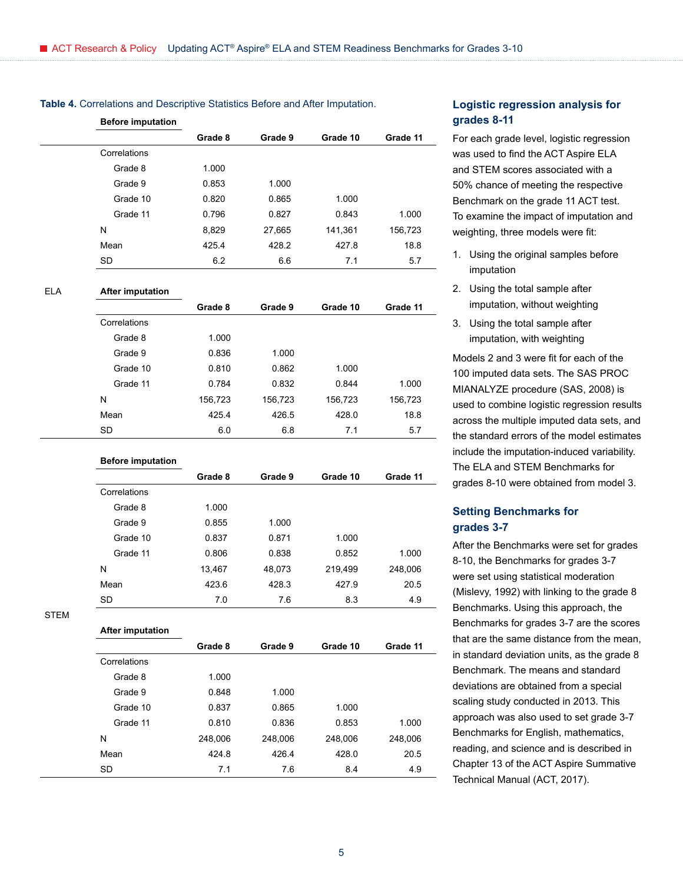| <b>Before imputation</b> |         |         |          |          |
|--------------------------|---------|---------|----------|----------|
|                          | Grade 8 | Grade 9 | Grade 10 | Grade 11 |
| Correlations             |         |         |          |          |
| Grade 8                  | 1.000   |         |          |          |
| Grade 9                  | 0.853   | 1.000   |          |          |
| Grade 10                 | 0.820   | 0.865   | 1.000    |          |
| Grade 11                 | 0.796   | 0.827   | 0.843    | 1.000    |
| N                        | 8,829   | 27,665  | 141,361  | 156,723  |
| Mean                     | 425.4   | 428.2   | 427.8    | 18.8     |
| <b>SD</b>                | 6.2     | 6.6     | 7.1      | 5.7      |
|                          |         |         |          |          |

### **Table 4.** Correlations and Descriptive Statistics Before and After Imputation.

#### ELA **After imputation**

|              | Grade 8 | Grade 9 | Grade 10 | Grade 11 |
|--------------|---------|---------|----------|----------|
| Correlations |         |         |          |          |
| Grade 8      | 1.000   |         |          |          |
| Grade 9      | 0.836   | 1.000   |          |          |
| Grade 10     | 0.810   | 0.862   | 1.000    |          |
| Grade 11     | 0.784   | 0.832   | 0.844    | 1.000    |
| N            | 156,723 | 156,723 | 156,723  | 156,723  |
| Mean         | 425.4   | 426.5   | 428.0    | 18.8     |
| <b>SD</b>    | 6.0     | 6.8     | 7.1      | 5.7      |

#### **Before imputation**

**After imputation**

|              | Grade 8 | Grade 9 | Grade 10 | Grade 11 |
|--------------|---------|---------|----------|----------|
| Correlations |         |         |          |          |
| Grade 8      | 1.000   |         |          |          |
| Grade 9      | 0.855   | 1.000   |          |          |
| Grade 10     | 0.837   | 0.871   | 1.000    |          |
| Grade 11     | 0.806   | 0.838   | 0.852    | 1.000    |
| N            | 13,467  | 48,073  | 219,499  | 248,006  |
| Mean         | 423.6   | 428.3   | 427.9    | 20.5     |
| <b>SD</b>    | 7.0     | 7.6     | 8.3      | 4.9      |

STEM

|              | Grade 8 | Grade 9 | Grade 10 | Grade 11 |
|--------------|---------|---------|----------|----------|
| Correlations |         |         |          |          |
| Grade 8      | 1.000   |         |          |          |
| Grade 9      | 0.848   | 1.000   |          |          |
| Grade 10     | 0.837   | 0.865   | 1.000    |          |
| Grade 11     | 0.810   | 0.836   | 0.853    | 1.000    |
| N            | 248,006 | 248,006 | 248,006  | 248,006  |
| Mean         | 424.8   | 426.4   | 428.0    | 20.5     |
| <b>SD</b>    | 7.1     | 7.6     | 8.4      | 4.9      |
|              |         |         |          |          |

## **Logistic regression analysis for grades 8-11**

For each grade level, logistic regression was used to find the ACT Aspire ELA and STEM scores associated with a 50% chance of meeting the respective Benchmark on the grade 11 ACT test. To examine the impact of imputation and weighting, three models were fit:

- 1. Using the original samples before imputation
- 2. Using the total sample after imputation, without weighting
- 3. Using the total sample after imputation, with weighting

Models 2 and 3 were fit for each of the 100 imputed data sets. The SAS PROC MIANALYZE procedure (SAS, 2008) is used to combine logistic regression results across the multiple imputed data sets, and the standard errors of the model estimates include the imputation-induced variability. The ELA and STEM Benchmarks for grades 8-10 were obtained from model 3.

### **Setting Benchmarks for grades 3-7**

After the Benchmarks were set for grades 8-10, the Benchmarks for grades 3-7 were set using statistical moderation (Mislevy, 1992) with linking to the grade 8 Benchmarks. Using this approach, the Benchmarks for grades 3-7 are the scores that are the same distance from the mean, in standard deviation units, as the grade 8 Benchmark. The means and standard deviations are obtained from a special scaling study conducted in 2013. This approach was also used to set grade 3-7 Benchmarks for English, mathematics, reading, and science and is described in Chapter 13 of the ACT Aspire Summative Technical Manual (ACT, 2017).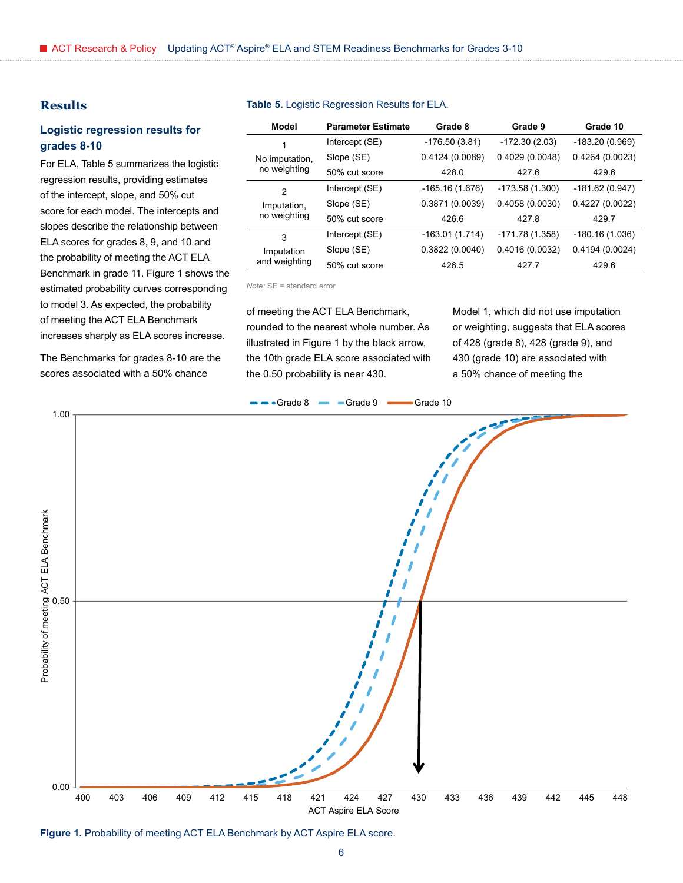### **Results**

### **Logistic regression results for grades 8-10**

For ELA, Table 5 summarizes the logistic regression results, providing estimates of the intercept, slope, and 50% cut score for each model. The intercepts and slopes describe the relationship between ELA scores for grades 8, 9, and 10 and the probability of meeting the ACT ELA Benchmark in grade 11. Figure 1 shows the estimated probability curves corresponding to model 3. As expected, the probability of meeting the ACT ELA Benchmark increases sharply as ELA scores increase.

The Benchmarks for grades 8-10 are the scores associated with a 50% chance

#### **Model Parameter Estimate Grade 8 Grade 9 Grade 10** 1 No imputation, no weighting Intercept (SE) -176.50 (3.81) -172.30 (2.03) -183.20 (0.969) Slope (SE) 0.4124 (0.0089) 0.4029 (0.0048) 0.4264 (0.0023) 50% cut score 428.0 427.6 429.6 2 Imputation, no weighting Intercept (SE) -165.16 (1.676) -173.58 (1.300) -181.62 (0.947) Slope (SE) 0.3871 (0.0039) 0.4058 (0.0030) 0.4227 (0.0022) 50% cut score 426.6 427.8 429.7 3 Imputation Intercept (SE) -163.01 (1.714) -171.78 (1.358) -180.16 (1.036) Slope (SE) 0.3822 (0.0040) 0.4016 (0.0032) 0.4194 (0.0024)

50% cut score 426.5 427.7 429.6

#### **Table 5.** Logistic Regression Results for ELA.

*Note:* SE = standard error

and weighting

of meeting the ACT ELA Benchmark, rounded to the nearest whole number. As illustrated in Figure 1 by the black arrow, the 10th grade ELA score associated with the 0.50 probability is near 430.

Model 1, which did not use imputation or weighting, suggests that ELA scores of 428 (grade 8), 428 (grade 9), and 430 (grade 10) are associated with a 50% chance of meeting the



**Figure 1.** Probability of meeting ACT ELA Benchmark by ACT Aspire ELA score.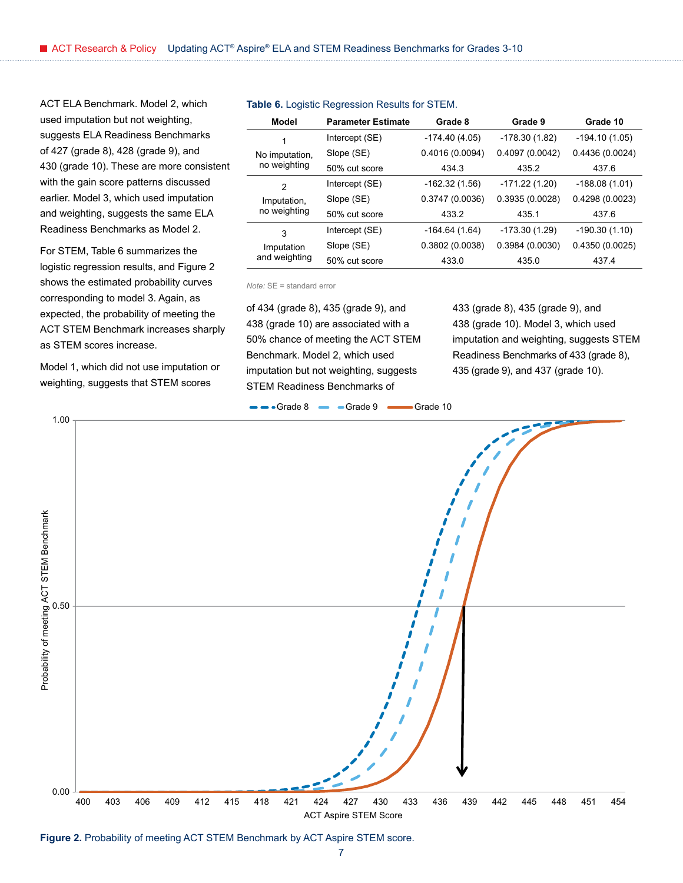ACT ELA Benchmark. Model 2, which used imputation but not weighting, suggests ELA Readiness Benchmarks of 427 (grade 8), 428 (grade 9), and 430 (grade 10). These are more consistent with the gain score patterns discussed earlier. Model 3, which used imputation and weighting, suggests the same ELA Readiness Benchmarks as Model 2.

For STEM, Table 6 summarizes the logistic regression results, and Figure 2 shows the estimated probability curves corresponding to model 3. Again, as expected, the probability of meeting the ACT STEM Benchmark increases sharply as STEM scores increase.

Model 1, which did not use imputation or weighting, suggests that STEM scores

| Model          | <b>Parameter Estimate</b> | Grade 8         | Grade 9         | Grade 10        |
|----------------|---------------------------|-----------------|-----------------|-----------------|
| 1              | Intercept (SE)            | $-174.40(4.05)$ | $-178.30(1.82)$ | $-194.10(1.05)$ |
| No imputation, | Slope (SE)                | 0.4016(0.0094)  | 0.4097(0.0042)  | 0.4436(0.0024)  |
| no weighting   | 50% cut score             | 434.3           | 435.2           | 437.6           |
| 2              | Intercept (SE)            | $-162.32(1.56)$ | $-171.22(1.20)$ | $-188.08(1.01)$ |
| Imputation,    | Slope (SE)                | 0.3747(0.0036)  | 0.3935(0.0028)  | 0.4298(0.0023)  |
| no weighting   | 50% cut score             | 433.2           | 4351            | 437.6           |
| 3              | Intercept (SE)            | $-164.64(1.64)$ | $-173.30(1.29)$ | $-190.30(1.10)$ |
| Imputation     | Slope (SE)                | 0.3802(0.0038)  | 0.3984(0.0030)  | 0.4350(0.0025)  |
| and weighting  | 50% cut score             | 433.0           | 435.0           | 437.4           |

#### **Table 6.** Logistic Regression Results for STEM.

*Note:* SE = standard error

of 434 (grade 8), 435 (grade 9), and 438 (grade 10) are associated with a 50% chance of meeting the ACT STEM Benchmark. Model 2, which used imputation but not weighting, suggests STEM Readiness Benchmarks of

433 (grade 8), 435 (grade 9), and 438 (grade 10). Model 3, which used imputation and weighting, suggests STEM Readiness Benchmarks of 433 (grade 8), 435 (grade 9), and 437 (grade 10).



Figure 2. Probability of meeting ACT STEM Benchmark by ACT Aspire STEM score.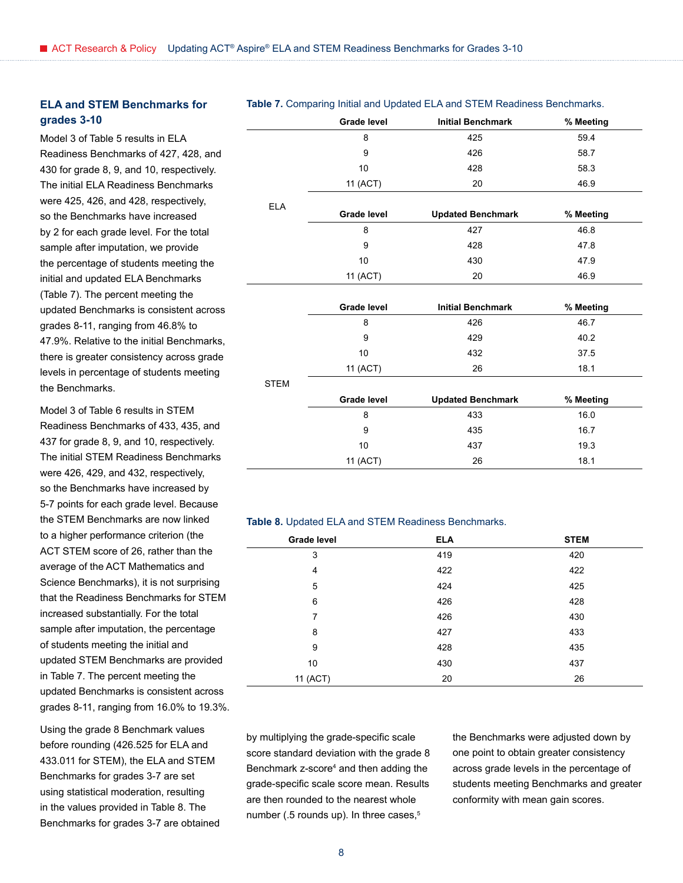### **ELA and STEM Benchmarks for grades 3-10**

Model 3 of Table 5 results in ELA Readiness Benchmarks of 427, 428, and 430 for grade 8, 9, and 10, respectively. The initial ELA Readiness Benchmarks were 425, 426, and 428, respectively, so the Benchmarks have increased by 2 for each grade level. For the total sample after imputation, we provide the percentage of students meeting the initial and updated ELA Benchmarks (Table 7). The percent meeting the updated Benchmarks is consistent across grades 8-11, ranging from 46.8% to 47.9%. Relative to the initial Benchmarks, there is greater consistency across grade levels in percentage of students meeting the Benchmarks.

Model 3 of Table 6 results in STEM Readiness Benchmarks of 433, 435, and 437 for grade 8, 9, and 10, respectively. The initial STEM Readiness Benchmarks were 426, 429, and 432, respectively, so the Benchmarks have increased by 5-7 points for each grade level. Because the STEM Benchmarks are now linked to a higher performance criterion (the ACT STEM score of 26, rather than the average of the ACT Mathematics and Science Benchmarks), it is not surprising that the Readiness Benchmarks for STEM increased substantially. For the total sample after imputation, the percentage of students meeting the initial and updated STEM Benchmarks are provided in Table 7. The percent meeting the updated Benchmarks is consistent across grades 8-11, ranging from 16.0% to 19.3%.

Using the grade 8 Benchmark values before rounding (426.525 for ELA and 433.011 for STEM), the ELA and STEM Benchmarks for grades 3-7 are set using statistical moderation, resulting in the values provided in Table 8. The Benchmarks for grades 3-7 are obtained

### **Table 7.** Comparing Initial and Updated ELA and STEM Readiness Benchmarks.

|            | <b>Grade level</b> | <b>Initial Benchmark</b> | % Meeting |
|------------|--------------------|--------------------------|-----------|
|            | 8                  | 425                      | 59.4      |
|            | 9                  | 426                      | 58.7      |
|            | 10                 | 428                      | 58.3      |
|            | 11 (ACT)           | 20                       | 46.9      |
| <b>ELA</b> |                    |                          |           |
|            | <b>Grade level</b> | <b>Updated Benchmark</b> | % Meeting |
|            | 8                  | 427                      | 46.8      |
|            | 9                  | 428                      | 47.8      |
|            | 10                 | 430                      | 47.9      |
|            | 11 (ACT)           | 20                       | 46.9      |
|            |                    |                          |           |
|            | <b>Grade level</b> | <b>Initial Benchmark</b> | % Meeting |
|            | 8                  | 426                      | 46.7      |
|            | 9                  | 429                      | 40.2      |
|            |                    |                          |           |

| <b>STEM</b> |                    |                          |           |  |
|-------------|--------------------|--------------------------|-----------|--|
|             | <b>Grade level</b> | <b>Updated Benchmark</b> | % Meeting |  |
|             | 8                  | 433                      | 16.0      |  |
|             | 9                  | 435                      | 16.7      |  |
|             | 10                 | 437                      | 19.3      |  |
|             | 11 (ACT)           | 26                       | 18.1      |  |
|             |                    |                          |           |  |

10 432 37.5 11 (ACT) 26 18.1

#### **Table 8.** Updated ELA and STEM Readiness Benchmarks.

| Grade level | <b>ELA</b> | <b>STEM</b> |
|-------------|------------|-------------|
| 3           | 419        | 420         |
| 4           | 422        | 422         |
| 5           | 424        | 425         |
| 6           | 426        | 428         |
| 7           | 426        | 430         |
| 8           | 427        | 433         |
| 9           | 428        | 435         |
| 10          | 430        | 437         |
| 11 (ACT)    | 20         | 26          |

by multiplying the grade-specific scale score standard deviation with the grade 8 Benchmark z-score<sup>4</sup> and then adding the grade-specific scale score mean. Results are then rounded to the nearest whole number (.5 rounds up). In three cases,<sup>5</sup>

the Benchmarks were adjusted down by one point to obtain greater consistency across grade levels in the percentage of students meeting Benchmarks and greater conformity with mean gain scores.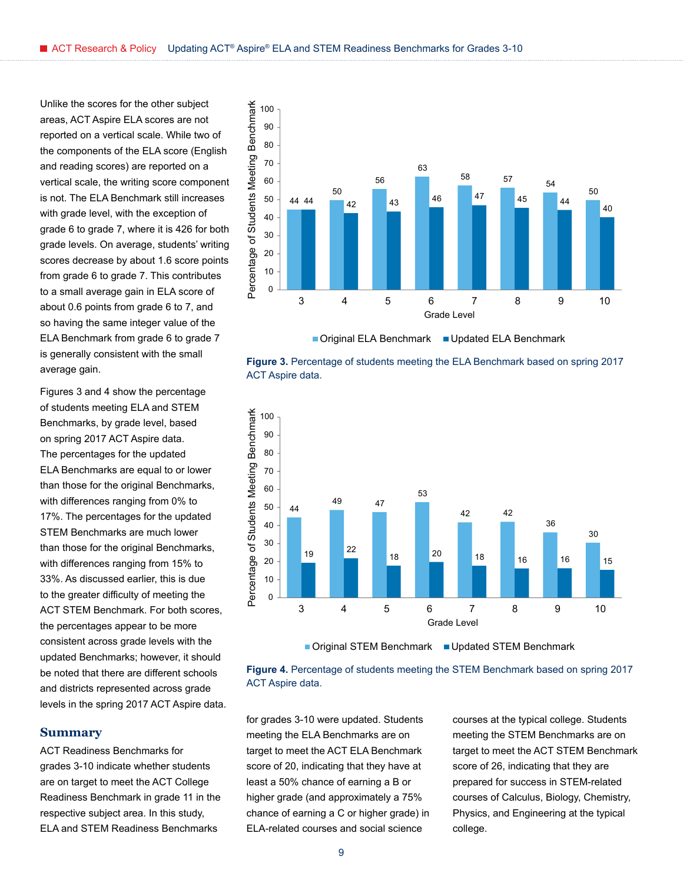Unlike the scores for the other subject areas, ACT Aspire ELA scores are not reported on a vertical scale. While two of the components of the ELA score (English and reading scores) are reported on a vertical scale, the writing score component is not. The ELA Benchmark still increases with grade level, with the exception of grade 6 to grade 7, where it is 426 for both grade levels. On average, students' writing scores decrease by about 1.6 score points from grade 6 to grade 7. This contributes to a small average gain in ELA score of about 0.6 points from grade 6 to 7, and so having the same integer value of the ELA Benchmark from grade 6 to grade 7 is generally consistent with the small average gain.

Figures 3 and 4 show the percentage of students meeting ELA and STEM Benchmarks, by grade level, based on spring 2017 ACT Aspire data. The percentages for the updated ELA Benchmarks are equal to or lower than those for the original Benchmarks, with differences ranging from 0% to 17%. The percentages for the updated STEM Benchmarks are much lower than those for the original Benchmarks, with differences ranging from 15% to 33%. As discussed earlier, this is due to the greater difficulty of meeting the ACT STEM Benchmark. For both scores, the percentages appear to be more consistent across grade levels with the updated Benchmarks; however, it should be noted that there are different schools and districts represented across grade levels in the spring 2017 ACT Aspire data.

### **Summary**

ACT Readiness Benchmarks for grades 3-10 indicate whether students are on target to meet the ACT College Readiness Benchmark in grade 11 in the respective subject area. In this study, ELA and STEM Readiness Benchmarks



**Figure 3.** Percentage of students meeting the ELA Benchmark based on spring 2017 ACT Aspire data.



■ Original STEM Benchmark ■ Updated STEM Benchmark



for grades 3-10 were updated. Students meeting the ELA Benchmarks are on target to meet the ACT ELA Benchmark score of 20, indicating that they have at least a 50% chance of earning a B or higher grade (and approximately a 75% chance of earning a C or higher grade) in ELA-related courses and social science

courses at the typical college. Students meeting the STEM Benchmarks are on target to meet the ACT STEM Benchmark score of 26, indicating that they are prepared for success in STEM-related courses of Calculus, Biology, Chemistry, Physics, and Engineering at the typical college.